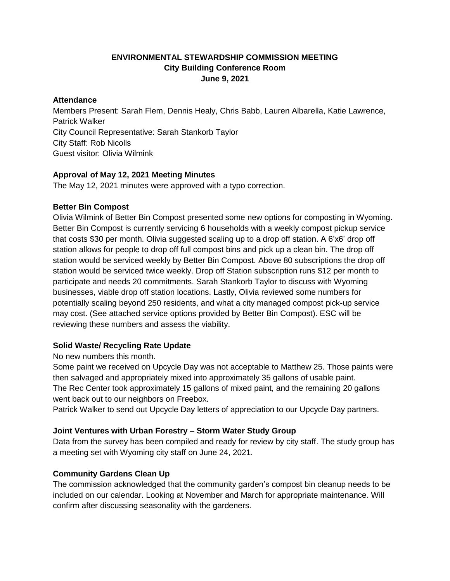## **ENVIRONMENTAL STEWARDSHIP COMMISSION MEETING City Building Conference Room June 9, 2021**

#### **Attendance**

Members Present: Sarah Flem, Dennis Healy, Chris Babb, Lauren Albarella, Katie Lawrence, Patrick Walker City Council Representative: Sarah Stankorb Taylor City Staff: Rob Nicolls Guest visitor: Olivia Wilmink

## **Approval of May 12, 2021 Meeting Minutes**

The May 12, 2021 minutes were approved with a typo correction.

## **Better Bin Compost**

Olivia Wilmink of Better Bin Compost presented some new options for composting in Wyoming. Better Bin Compost is currently servicing 6 households with a weekly compost pickup service that costs \$30 per month. Olivia suggested scaling up to a drop off station. A 6'x6' drop off station allows for people to drop off full compost bins and pick up a clean bin. The drop off station would be serviced weekly by Better Bin Compost. Above 80 subscriptions the drop off station would be serviced twice weekly. Drop off Station subscription runs \$12 per month to participate and needs 20 commitments. Sarah Stankorb Taylor to discuss with Wyoming businesses, viable drop off station locations. Lastly, Olivia reviewed some numbers for potentially scaling beyond 250 residents, and what a city managed compost pick-up service may cost. (See attached service options provided by Better Bin Compost). ESC will be reviewing these numbers and assess the viability.

# **Solid Waste/ Recycling Rate Update**

No new numbers this month.

Some paint we received on Upcycle Day was not acceptable to Matthew 25. Those paints were then salvaged and appropriately mixed into approximately 35 gallons of usable paint. The Rec Center took approximately 15 gallons of mixed paint, and the remaining 20 gallons went back out to our neighbors on Freebox.

Patrick Walker to send out Upcycle Day letters of appreciation to our Upcycle Day partners.

## **Joint Ventures with Urban Forestry – Storm Water Study Group**

Data from the survey has been compiled and ready for review by city staff. The study group has a meeting set with Wyoming city staff on June 24, 2021.

# **Community Gardens Clean Up**

The commission acknowledged that the community garden's compost bin cleanup needs to be included on our calendar. Looking at November and March for appropriate maintenance. Will confirm after discussing seasonality with the gardeners.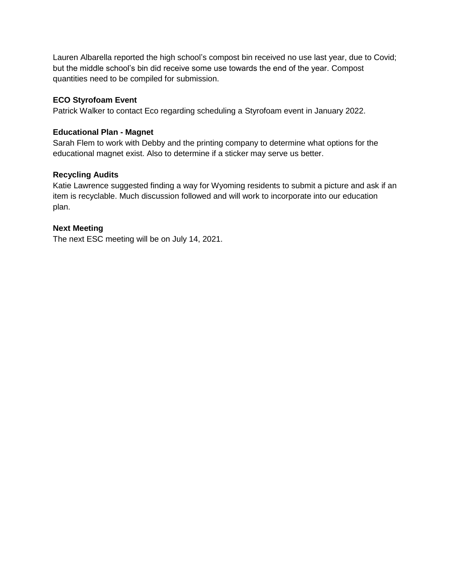Lauren Albarella reported the high school's compost bin received no use last year, due to Covid; but the middle school's bin did receive some use towards the end of the year. Compost quantities need to be compiled for submission.

### **ECO Styrofoam Event**

Patrick Walker to contact Eco regarding scheduling a Styrofoam event in January 2022.

#### **Educational Plan - Magnet**

Sarah Flem to work with Debby and the printing company to determine what options for the educational magnet exist. Also to determine if a sticker may serve us better.

### **Recycling Audits**

Katie Lawrence suggested finding a way for Wyoming residents to submit a picture and ask if an item is recyclable. Much discussion followed and will work to incorporate into our education plan.

### **Next Meeting**

The next ESC meeting will be on July 14, 2021.